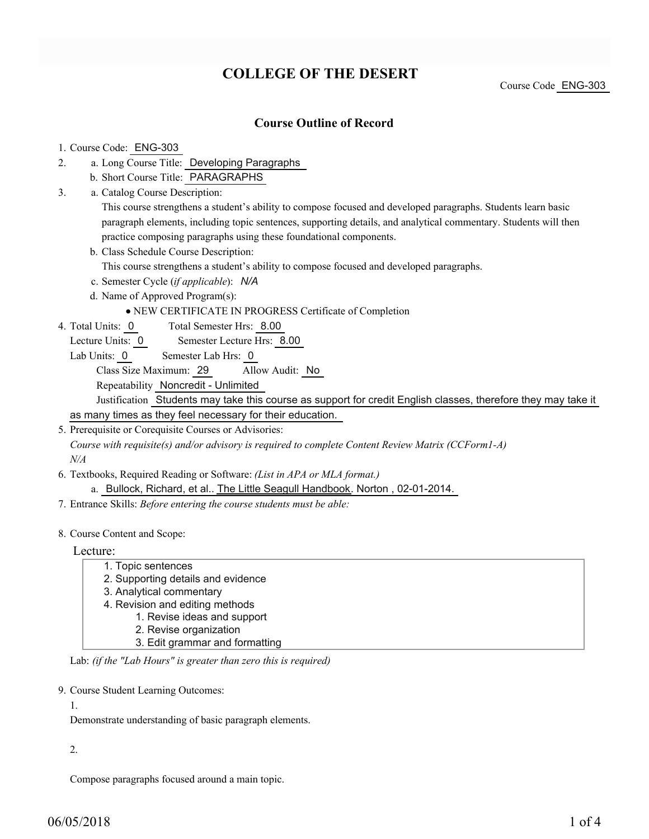# **COLLEGE OF THE DESERT**

Course Code ENG-303

### **Course Outline of Record**

#### 1. Course Code: ENG-303

- a. Long Course Title: Developing Paragraphs 2.
	- b. Short Course Title: PARAGRAPHS
- Catalog Course Description: a. 3.

This course strengthens a student's ability to compose focused and developed paragraphs. Students learn basic paragraph elements, including topic sentences, supporting details, and analytical commentary. Students will then practice composing paragraphs using these foundational components.

b. Class Schedule Course Description:

This course strengthens a student's ability to compose focused and developed paragraphs.

- c. Semester Cycle (*if applicable*): *N/A*
- d. Name of Approved Program(s):

#### NEW CERTIFICATE IN PROGRESS Certificate of Completion

Total Semester Hrs: 8.00 4. Total Units: 0

Lecture Units: 0 Semester Lecture Hrs: 8.00

Lab Units: 0 Semester Lab Hrs: 0

Class Size Maximum: 29 Allow Audit: No

Repeatability Noncredit - Unlimited

Justification Students may take this course as support for credit English classes, therefore they may take it

as many times as they feel necessary for their education.

5. Prerequisite or Corequisite Courses or Advisories:

*Course with requisite(s) and/or advisory is required to complete Content Review Matrix (CCForm1-A) N/A*

Textbooks, Required Reading or Software: *(List in APA or MLA format.)* 6.

a. Bullock, Richard, et al.. The Little Seagull Handbook. Norton, 02-01-2014.

- 7. Entrance Skills: *Before entering the course students must be able:*
- 8. Course Content and Scope:

Lecture:

1. Topic sentences 2. Supporting details and evidence 3. Analytical commentary 4. Revision and editing methods 1. Revise ideas and support 2. Revise organization 3. Edit grammar and formatting

Lab: *(if the "Lab Hours" is greater than zero this is required)*

9. Course Student Learning Outcomes:

1.

Demonstrate understanding of basic paragraph elements.

2.

Compose paragraphs focused around a main topic.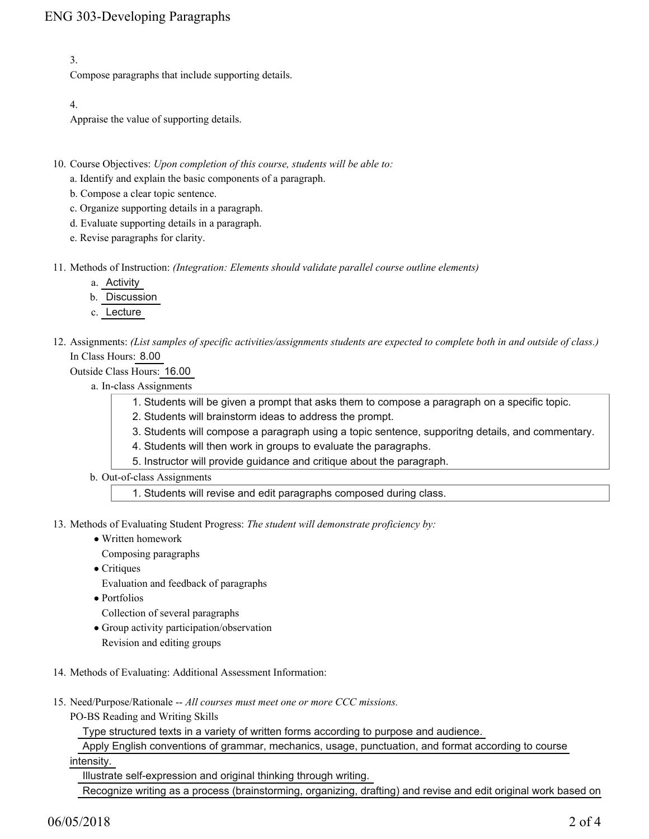3.

Compose paragraphs that include supporting details.

4.

Appraise the value of supporting details.

- 10. Course Objectives: Upon completion of this course, students will be able to:
	- a. Identify and explain the basic components of a paragraph.
	- b. Compose a clear topic sentence.
	- c. Organize supporting details in a paragraph.
	- d. Evaluate supporting details in a paragraph.
	- e. Revise paragraphs for clarity.
- 11. Methods of Instruction: *(Integration: Elements should validate parallel course outline elements)* 
	- a. Activity
	- b. Discussion
	- c. Lecture
- 12. Assignments: (List samples of specific activities/assignments students are expected to complete both in and outside of class.) In Class Hours: 8.00

Outside Class Hours: 16.00

- a. In-class Assignments
	- 1. Students will be given a prompt that asks them to compose a paragraph on a specific topic.
	- 2. Students will brainstorm ideas to address the prompt.
	- 3. Students will compose a paragraph using a topic sentence, supporitng details, and commentary.
	- 4. Students will then work in groups to evaluate the paragraphs.
	- 5. Instructor will provide guidance and critique about the paragraph.
- b. Out-of-class Assignments

1. Students will revise and edit paragraphs composed during class.

13. Methods of Evaluating Student Progress: The student will demonstrate proficiency by:

- Written homework
	- Composing paragraphs
- Critiques
- Evaluation and feedback of paragraphs
- Portfolios
- Collection of several paragraphs
- Group activity participation/observation
	- Revision and editing groups
- 14. Methods of Evaluating: Additional Assessment Information:
- 15. Need/Purpose/Rationale -- All courses must meet one or more CCC missions.
	- PO-BS Reading and Writing Skills

Type structured texts in a variety of written forms according to purpose and audience.

Apply English conventions of grammar, mechanics, usage, punctuation, and format according to course

intensity.

Illustrate self-expression and original thinking through writing.

Recognize writing as a process (brainstorming, organizing, drafting) and revise and edit original work based on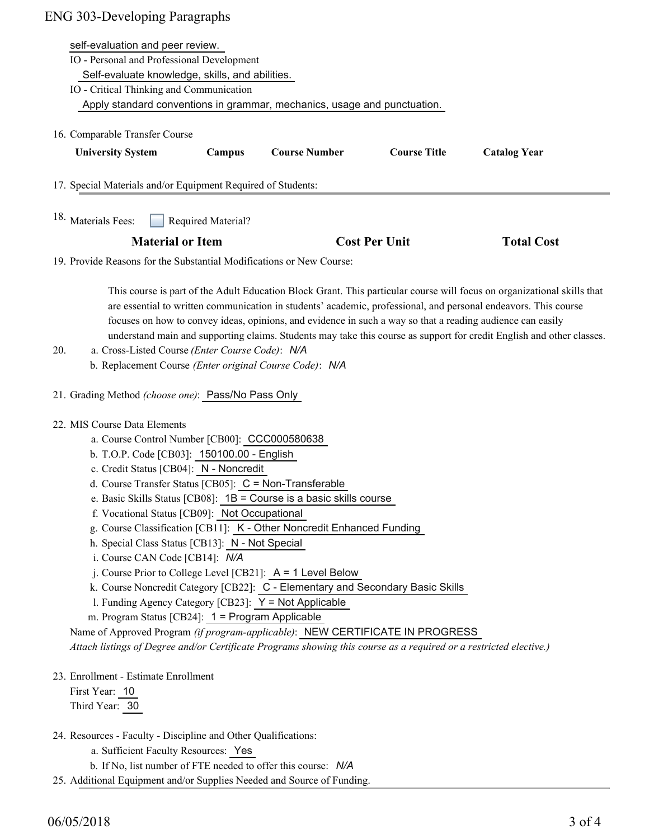| <b>ENG 303-Developing Paragraphs</b>                                  |                                                                                                                         |        |                      |                     |                     |  |
|-----------------------------------------------------------------------|-------------------------------------------------------------------------------------------------------------------------|--------|----------------------|---------------------|---------------------|--|
| self-evaluation and peer review.                                      |                                                                                                                         |        |                      |                     |                     |  |
|                                                                       | IO - Personal and Professional Development<br>Self-evaluate knowledge, skills, and abilities.                           |        |                      |                     |                     |  |
|                                                                       |                                                                                                                         |        |                      |                     |                     |  |
|                                                                       | IO - Critical Thinking and Communication                                                                                |        |                      |                     |                     |  |
|                                                                       | Apply standard conventions in grammar, mechanics, usage and punctuation.                                                |        |                      |                     |                     |  |
|                                                                       | 16. Comparable Transfer Course                                                                                          |        |                      |                     |                     |  |
|                                                                       | <b>University System</b>                                                                                                | Campus | <b>Course Number</b> | <b>Course Title</b> | <b>Catalog Year</b> |  |
|                                                                       |                                                                                                                         |        |                      |                     |                     |  |
| 17. Special Materials and/or Equipment Required of Students:          |                                                                                                                         |        |                      |                     |                     |  |
| 18. Materials Fees:<br>Required Material?                             |                                                                                                                         |        |                      |                     |                     |  |
|                                                                       | <b>Material or Item</b>                                                                                                 |        | <b>Cost Per Unit</b> |                     | <b>Total Cost</b>   |  |
| 19. Provide Reasons for the Substantial Modifications or New Course:  |                                                                                                                         |        |                      |                     |                     |  |
|                                                                       |                                                                                                                         |        |                      |                     |                     |  |
|                                                                       | This course is part of the Adult Education Block Grant. This particular course will focus on organizational skills that |        |                      |                     |                     |  |
|                                                                       | are essential to written communication in students' academic, professional, and personal endeavors. This course         |        |                      |                     |                     |  |
|                                                                       | focuses on how to convey ideas, opinions, and evidence in such a way so that a reading audience can easily              |        |                      |                     |                     |  |
|                                                                       | understand main and supporting claims. Students may take this course as support for credit English and other classes.   |        |                      |                     |                     |  |
| 20.                                                                   | a. Cross-Listed Course (Enter Course Code): N/A                                                                         |        |                      |                     |                     |  |
|                                                                       | b. Replacement Course (Enter original Course Code): N/A                                                                 |        |                      |                     |                     |  |
| 21. Grading Method (choose one): Pass/No Pass Only                    |                                                                                                                         |        |                      |                     |                     |  |
| 22. MIS Course Data Elements                                          |                                                                                                                         |        |                      |                     |                     |  |
| a. Course Control Number [CB00]: CCC000580638                         |                                                                                                                         |        |                      |                     |                     |  |
| b. T.O.P. Code [CB03]: 150100.00 - English                            |                                                                                                                         |        |                      |                     |                     |  |
| c. Credit Status [CB04]: N - Noncredit                                |                                                                                                                         |        |                      |                     |                     |  |
| d. Course Transfer Status [CB05]: C = Non-Transferable                |                                                                                                                         |        |                      |                     |                     |  |
| e. Basic Skills Status [CB08]: 1B = Course is a basic skills course   |                                                                                                                         |        |                      |                     |                     |  |
| f. Vocational Status [CB09]: Not Occupational                         |                                                                                                                         |        |                      |                     |                     |  |
| g. Course Classification [CB11]: K - Other Noncredit Enhanced Funding |                                                                                                                         |        |                      |                     |                     |  |
|                                                                       | h. Special Class Status [CB13]: N - Not Special<br>i. Course CAN Code [CB14]: N/A                                       |        |                      |                     |                     |  |
|                                                                       |                                                                                                                         |        |                      |                     |                     |  |

- j. Course Prior to College Level [CB21]: A = 1 Level Below
- k. Course Noncredit Category [CB22]: C Elementary and Secondary Basic Skills
- l. Funding Agency Category [CB23]: Y = Not Applicable
- m. Program Status [CB24]: 1 = Program Applicable

Name of Approved Program *(if program-applicable)*: NEW CERTIFICATE IN PROGRESS

*Attach listings of Degree and/or Certificate Programs showing this course as a required or a restricted elective.)*

23. Enrollment - Estimate Enrollment

First Year: 10 Third Year: 30

- 24. Resources Faculty Discipline and Other Qualifications:
	- a. Sufficient Faculty Resources: Yes
	- b. If No, list number of FTE needed to offer this course: *N/A*
- 25. Additional Equipment and/or Supplies Needed and Source of Funding.